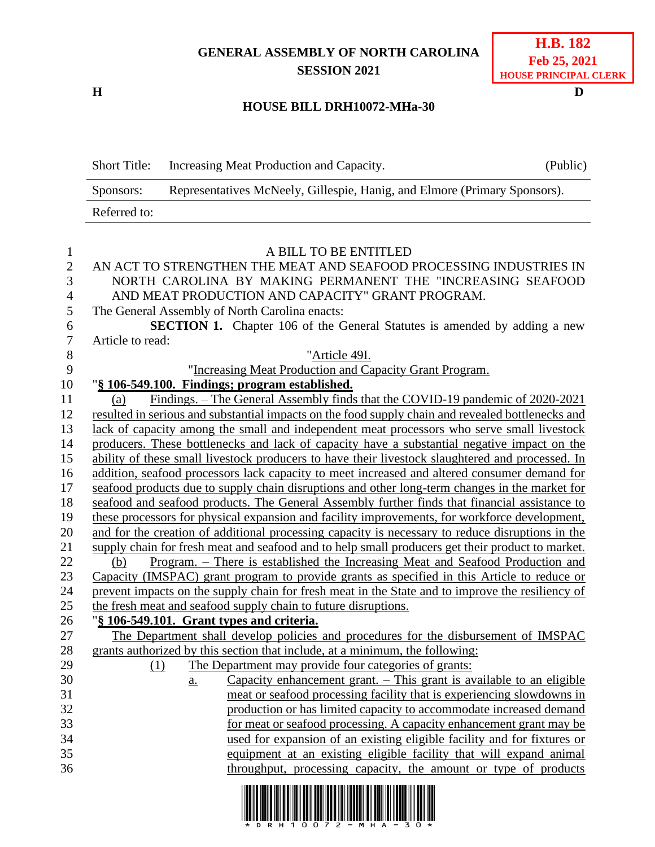## **GENERAL ASSEMBLY OF NORTH CAROLINA SESSION 2021**

**H D**

## **H.B. 182 Feb 25, 2021 HOUSE PRINCIPAL CLERK**

## **HOUSE BILL DRH10072-MHa-30**

Short Title: Increasing Meat Production and Capacity. (Public) Sponsors: Representatives McNeely, Gillespie, Hanig, and Elmore (Primary Sponsors). Referred to:

| $\mathbf{1}$   | A BILL TO BE ENTITLED                                                                             |
|----------------|---------------------------------------------------------------------------------------------------|
| $\overline{2}$ | AN ACT TO STRENGTHEN THE MEAT AND SEAFOOD PROCESSING INDUSTRIES IN                                |
| $\mathfrak{Z}$ | NORTH CAROLINA BY MAKING PERMANENT THE "INCREASING SEAFOOD                                        |
| $\overline{4}$ | AND MEAT PRODUCTION AND CAPACITY" GRANT PROGRAM.                                                  |
| $\mathfrak{S}$ | The General Assembly of North Carolina enacts:                                                    |
| 6              | SECTION 1. Chapter 106 of the General Statutes is amended by adding a new                         |
| $\tau$         | Article to read:                                                                                  |
| 8              | "Article 49I.                                                                                     |
| 9              | "Increasing Meat Production and Capacity Grant Program.                                           |
| 10             | "§ 106-549.100. Findings; program established.                                                    |
| 11             | Findings. – The General Assembly finds that the COVID-19 pandemic of 2020-2021<br>(a)             |
| 12             | resulted in serious and substantial impacts on the food supply chain and revealed bottlenecks and |
| 13             | lack of capacity among the small and independent meat processors who serve small livestock        |
| 14             | producers. These bottlenecks and lack of capacity have a substantial negative impact on the       |
| 15             | ability of these small livestock producers to have their livestock slaughtered and processed. In  |
| 16             | addition, seafood processors lack capacity to meet increased and altered consumer demand for      |
| 17             | seafood products due to supply chain disruptions and other long-term changes in the market for    |
| 18             | seafood and seafood products. The General Assembly further finds that financial assistance to     |
| 19             | these processors for physical expansion and facility improvements, for workforce development,     |
| 20             | and for the creation of additional processing capacity is necessary to reduce disruptions in the  |
| 21             | supply chain for fresh meat and seafood and to help small producers get their product to market.  |
| 22             | Program. – There is established the Increasing Meat and Seafood Production and<br>(b)             |
| 23             | Capacity (IMSPAC) grant program to provide grants as specified in this Article to reduce or       |
| 24             | prevent impacts on the supply chain for fresh meat in the State and to improve the resiliency of  |
| 25             | the fresh meat and seafood supply chain to future disruptions.                                    |
| 26             | "§ 106-549.101. Grant types and criteria.                                                         |
| 27             | The Department shall develop policies and procedures for the disbursement of IMSPAC               |
| 28             | grants authorized by this section that include, at a minimum, the following:                      |
| 29             | The Department may provide four categories of grants:<br>(1)                                      |
| 30             | Capacity enhancement grant. – This grant is available to an eligible<br>$\underline{a}$ .         |
| 31             | meat or seafood processing facility that is experiencing slowdowns in                             |
| 32             | production or has limited capacity to accommodate increased demand                                |
| 33             | for meat or seafood processing. A capacity enhancement grant may be                               |
| 34             | used for expansion of an existing eligible facility and for fixtures or                           |
| 35             | equipment at an existing eligible facility that will expand animal                                |
| 36             | throughput, processing capacity, the amount or type of products                                   |
|                |                                                                                                   |

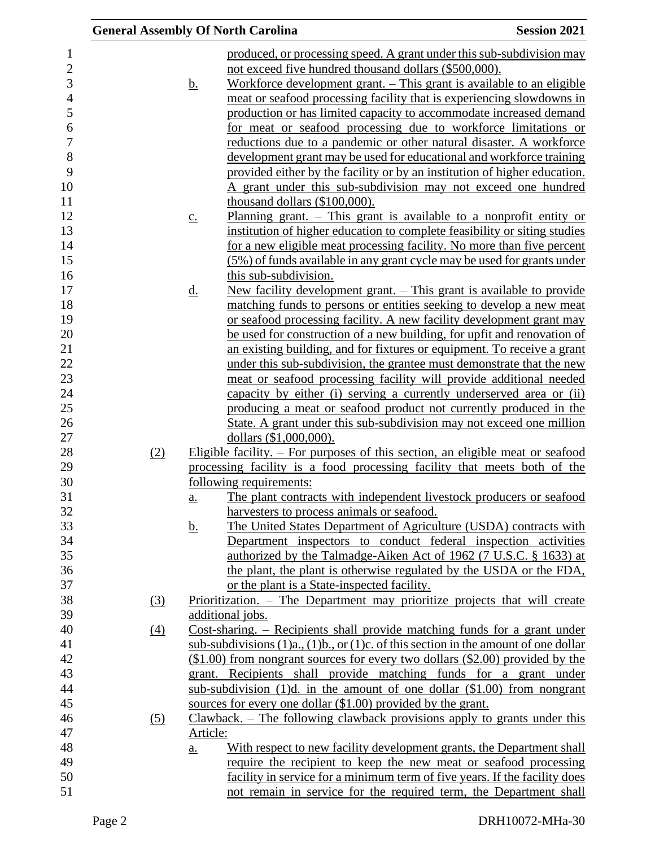|     |          |                   | <b>General Assembly Of North Carolina</b>                                                                                                 | <b>Session 2021</b> |
|-----|----------|-------------------|-------------------------------------------------------------------------------------------------------------------------------------------|---------------------|
|     |          |                   | produced, or processing speed. A grant under this sub-subdivision may                                                                     |                     |
|     |          |                   | not exceed five hundred thousand dollars (\$500,000).                                                                                     |                     |
|     |          | <u>b.</u>         | Workforce development grant. – This grant is available to an eligible                                                                     |                     |
|     |          |                   | meat or seafood processing facility that is experiencing slowdowns in                                                                     |                     |
|     |          |                   | production or has limited capacity to accommodate increased demand                                                                        |                     |
|     |          |                   | for meat or seafood processing due to workforce limitations or                                                                            |                     |
|     |          |                   | reductions due to a pandemic or other natural disaster. A workforce                                                                       |                     |
|     |          |                   | development grant may be used for educational and workforce training                                                                      |                     |
|     |          |                   | provided either by the facility or by an institution of higher education.                                                                 |                     |
|     |          |                   | A grant under this sub-subdivision may not exceed one hundred                                                                             |                     |
|     |          |                   | thousand dollars (\$100,000).                                                                                                             |                     |
|     |          | $\underline{c}$ . | Planning grant. $-$ This grant is available to a nonprofit entity or                                                                      |                     |
|     |          |                   | institution of higher education to complete feasibility or siting studies                                                                 |                     |
|     |          |                   | for a new eligible meat processing facility. No more than five percent                                                                    |                     |
|     |          |                   | (5%) of funds available in any grant cycle may be used for grants under                                                                   |                     |
|     |          |                   | this sub-subdivision.                                                                                                                     |                     |
|     |          | <u>d.</u>         | New facility development grant. – This grant is available to provide                                                                      |                     |
|     |          |                   | matching funds to persons or entities seeking to develop a new meat                                                                       |                     |
|     |          |                   | or seafood processing facility. A new facility development grant may                                                                      |                     |
|     |          |                   | be used for construction of a new building, for upfit and renovation of                                                                   |                     |
|     |          |                   | an existing building, and for fixtures or equipment. To receive a grant                                                                   |                     |
|     |          |                   | under this sub-subdivision, the grantee must demonstrate that the new                                                                     |                     |
|     |          |                   | meat or seafood processing facility will provide additional needed                                                                        |                     |
|     |          |                   | capacity by either (i) serving a currently underserved area or (ii)                                                                       |                     |
|     |          |                   | producing a meat or seafood product not currently produced in the<br>State. A grant under this sub-subdivision may not exceed one million |                     |
|     |          |                   | dollars (\$1,000,000).                                                                                                                    |                     |
| (2) |          |                   | Eligible facility. $-$ For purposes of this section, an eligible meat or seafood                                                          |                     |
|     |          |                   | processing facility is a food processing facility that meets both of the                                                                  |                     |
|     |          |                   | following requirements:                                                                                                                   |                     |
|     |          | $a_{\cdot}$       | The plant contracts with independent livestock producers or seafood                                                                       |                     |
|     |          |                   | harvesters to process animals or seafood.                                                                                                 |                     |
|     |          | <u>b.</u>         | The United States Department of Agriculture (USDA) contracts with                                                                         |                     |
|     |          |                   | Department inspectors to conduct federal inspection activities                                                                            |                     |
|     |          |                   | authorized by the Talmadge-Aiken Act of 1962 (7 U.S.C. § 1633) at                                                                         |                     |
|     |          |                   | the plant, the plant is otherwise regulated by the USDA or the FDA,                                                                       |                     |
|     |          |                   | or the plant is a State-inspected facility.                                                                                               |                     |
|     | (3)      |                   | Prioritization. – The Department may prioritize projects that will create                                                                 |                     |
|     |          |                   | additional jobs.                                                                                                                          |                     |
|     | $\Delta$ |                   | $Cost\text{-}sharing.$ – Recipients shall provide matching funds for a grant under                                                        |                     |
|     |          |                   | sub-subdivisions $(1)a$ , $(1)b$ , or $(1)c$ . of this section in the amount of one dollar                                                |                     |
|     |          |                   | $($1.00)$ from nongrant sources for every two dollars $($2.00)$ provided by the                                                           |                     |
|     |          |                   | grant. Recipients shall provide matching funds for a grant under                                                                          |                     |
|     |          |                   | sub-subdivision $(1)d$ , in the amount of one dollar $(\$1.00)$ from nongrant                                                             |                     |
|     |          |                   | sources for every one dollar (\$1.00) provided by the grant.                                                                              |                     |
|     | (5)      |                   | Clawback. – The following clawback provisions apply to grants under this                                                                  |                     |
|     |          | Article:          |                                                                                                                                           |                     |
|     |          | $\underline{a}$ . | With respect to new facility development grants, the Department shall<br>require the recipient to keep the new meat or seafood processing |                     |
|     |          |                   | facility in service for a minimum term of five years. If the facility does                                                                |                     |
|     |          |                   | not remain in service for the required term, the Department shall                                                                         |                     |
|     |          |                   |                                                                                                                                           |                     |